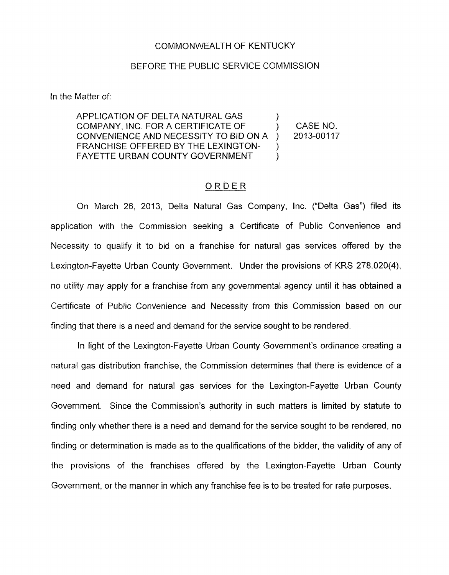## COMMONWEALTH OF KENTUCKY

## BEFORE THE PUBLIC SERVICE COMMISSION

In the Matter of:

APPLICATION OF DELTA NATURAL GAS COMPANY, INC. FOR A CERTIFICATE OF ) CASENO. CONVENIENCE AND NECESSITY TO BID ON A ) 2013-00117 FRANCHISE OFFERED BY THE LEXINGTON-  $\lambda$  $\left\{ \right\}$ FAYETTE URBAN COUNTY GOVERNMENT

## ORDER

On March 26, 2013, Delta Natural Gas Company, Inc. ("Delta Gas") filed its application with the Commission seeking a Certificate of Public Convenience and Necessity to qualify it to bid on a franchise for natural gas services offered by the Lexington-Fayette Urban County Government. Under the provisions of KRS 278.020(4), no utility may apply for a franchise from any governmental agency until it has obtained a Certificate of Public Convenience and Necessity from this Commission based on our finding that there is a need and demand for the service sought to be rendered.

In light of the Lexington-Fayette Urban County Government's ordinance creating a natural gas distribution franchise, the Commission determines that there is evidence of a need and demand for natural gas services for the Lexington-Fayette Urban County Government. Since the Commission's authority in such matters is limited by statute to finding only whether there is a need and demand for the service sought to be rendered, no finding or determination is made as to the qualifications of the bidder, the validity of any of the provisions of the franchises offered by the Lexington-Fayette Urban County Government, or the manner in which any franchise fee is to be treated for rate purposes.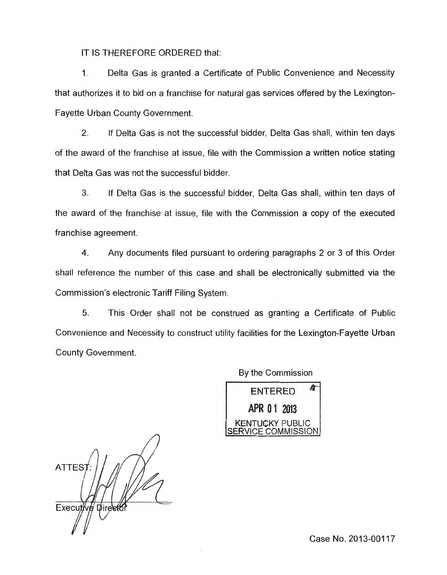IT IS THEREFORE ORDERED that:

1. Delta Gas is granted a Certificate of Public Convenience and Necessity that authorizes it to hid on a franchise for natural gas services offered by the Lexington-Fayette Urban County Government.

2. If Delta Gas is not the successful bidder, Delta Gas shall, within ten days of the award of the franchise at issue, file with the Commission a written notice stating that Delta Gas was not the successful bidder.

**3.** If Delta Gas is the successful bidder, Delta Gas shall, within ten days of the award of the franchise at issue, file with the Commission a copy of the executed franchise agreement.

**4.** Any documents filed pursuant to ordering paragraphs 2 or 3 of this Order shall reference the number of this case and shall be electronically submitted via the Commission's electronic Tariff Filing System.

5. This Order shall not be construed as granting a Certificate of Public Convenience and Necessity to construct utility facilities for the Lexington-Fayette Urban County Government.

> **ENTERED** APR 01 2013 **KENTUCKY PUBLIC**

By the Commission

ATTES<sub>1</sub> Executive Direct

Case No. 2013-00117